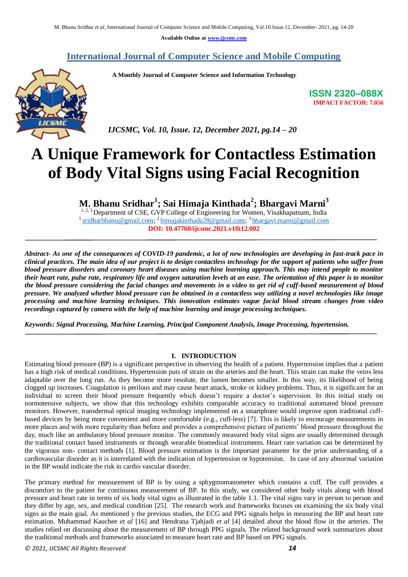**Available Online at www.ijcsmc.com**

## **International Journal of Computer Science and Mobile Computing**

 **A Monthly Journal of Computer Science and Information Technology**



 *IJCSMC, Vol. 10, Issue. 12, December 2021, pg.14 – 20*

# **A Unique Framework for Contactless Estimation of Body Vital Signs using Facial Recognition**

**M. Bhanu Sridhar<sup>1</sup> ; Sai Himaja Kinthada<sup>2</sup> ; Bhargavi Marni<sup>3</sup>**

<sup>1, 2, 3</sup> Department of CSE, GVP College of Engineering for Women, Visakhapatnam, India <sup>1</sup> sridharbhanu@gmail.com; <sup>2</sup> himajakinthada28@gmail.com; <sup>3</sup> bhargavi.marni@gmail.com **DOI: 10.47760/ijcsmc.2021.v10i12.002**

*Abstract- As one of the consequences of COVID-19 pandemic, a lot of new technologies are developing in fast-track pace in clinical practices. The main idea of our project is to design contactless technology for the support of patients who suffer from blood pressure disorders and coronary heart diseases using machine learning approach. This may intend people to monitor their heart rate, pulse rate, respiratory life and oxygen saturation levels at an ease. The orientation of this paper is to monitor the blood pressure considering the facial changes and movements in a video to get rid of cuff-based measurement of blood pressure. We analyzed whether blood pressure can be obtained in a contactless way utilizing a novel technologies like image processing and machine learning techniques. This innovation estimates vague facial blood stream changes from video recordings captured by camera with the help of machine learning and image processing techniques.*

*Keywords***:** *Signal Processing, Machine Learning, Principal Component Analysis, Image Processing, hypertension.*

#### **I. INTRODUCTION**

Estimating blood pressure (BP) is a significant perspective in observing the health of a patient. Hypertension implies that a patient has a high risk of medical conditions. Hypertension puts of strain on the arteries and the heart. This strain can make the veins less adaptable over the long run. As they become more resolute, the lumen becomes smaller. In this way, its likelihood of being clogged up increases. Coagulation is perilous and may cause heart attack, stroke or kidney problems. Thus, it is significant for an individual to screen their blood pressure frequently which doesn't require a doctor's supervision. In this initial study on normotensive subjects, we show that this technology exhibits comparable accuracy to traditional automated blood pressure monitors. However, transdermal optical imaging technology implemented on a smartphone would improve upon traditional cuffbased devices by being more convenient and more comfortable (e.g., cuff-less) [7]. This is likely to encourage measurements in more places and with more regularity than before and provides a comprehensive picture of patients' blood pressure throughout the day, much like an ambulatory blood pressure monitor. The commonly measured body vital signs are usually determined through the traditional contact based instruments or through wearable biomedical instruments. Heart rate variation can be determined by the vigorous non- contact methods [1]. Blood pressure estimation is the important parameter for the prior understanding of a cardiovascular disorder as it is interrelated with the indication of hypertension or hypotension. In case of any abnormal variation in the BP would indicate the risk in cardio vascular disorder.

The primary method for measurement of BP is by using a sphygmomanometer which contains a cuff. The cuff provides a discomfort to the patient for continuous measurement of BP. In this study, we considered other body vitals along with blood pressure and heart rate in terms of six body vital signs as illustrated in the table 1.1. The vital signs vary in person to person and they differ by age, sex, and medical condition [25]. The research work and frameworks focuses on examining the six body vital signs as the main goal. As mentioned y the previous studies, the ECG and PPG signals helps in measuring the BP and heart rate estimation. Muhammad Kauchee *et al* [16] and Hendrana Tjahjadi *et al* [4] detailed about the blood flow in the arteries. The studies relied on discussing about the measurement of BP through PPG signals. The related background work summarizes about the traditional methods and frameworks associated to measure heart rate and BP based on PPG signals.

**ISSN 2320–088X IMPACT FACTOR: 7.056**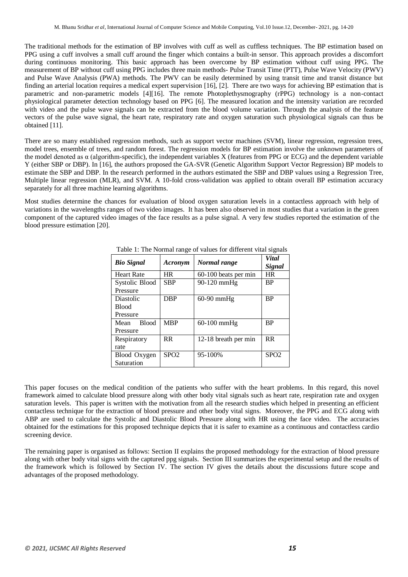The traditional methods for the estimation of BP involves with cuff as well as cuffless techniques. The BP estimation based on PPG using a cuff involves a small cuff around the finger which contains a built-in sensor. This approach provides a discomfort during continuous monitoring. This basic approach has been overcome by BP estimation without cuff using PPG. The measurement of BP without cuff using PPG includes three main methods- Pulse Transit Time (PTT), Pulse Wave Velocity (PWV) and Pulse Wave Analysis (PWA) methods. The PWV can be easily determined by using transit time and transit distance but finding an arterial location requires a medical expert supervision [16], [2]. There are two ways for achieving BP estimation that is parametric and non-parametric models [4][16]. The remote Photoplethysmography (rPPG) technology is a non-contact physiological parameter detection technology based on PPG [6]. The measured location and the intensity variation are recorded with video and the pulse wave signals can be extracted from the blood volume variation. Through the analysis of the feature vectors of the pulse wave signal, the heart rate, respiratory rate and oxygen saturation such physiological signals can thus be obtained [11].

There are so many established regression methods, such as support vector machines (SVM), linear regression, regression trees, model trees, ensemble of trees, and random forest. The regression models for BP estimation involve the unknown parameters of the model denoted as α (algorithm-specific), the independent variables X (features from PPG or ECG) and the dependent variable Y (either SBP or DBP). In [16], the authors proposed the GA-SVR (Genetic Algorithm Support Vector Regression) BP models to estimate the SBP and DBP. In the research performed in the authors estimated the SBP and DBP values using a Regression Tree, Multiple linear regression (MLR), and SVM. A 10-fold cross-validation was applied to obtain overall BP estimation accuracy separately for all three machine learning algorithms.

Most studies determine the chances for evaluation of blood oxygen saturation levels in a contactless approach with help of variations in the wavelengths ranges of two video images. It has been also observed in most studies that a variation in the green component of the captured video images of the face results as a pulse signal. A very few studies reported the estimation of the blood pressure estimation [20].

| <b>Bio Signal</b>    | Acronym          | Normal range         | <b>Vital</b>     |
|----------------------|------------------|----------------------|------------------|
|                      |                  |                      | Signal           |
| <b>Heart Rate</b>    | <b>HR</b>        | 60-100 beats per min | <b>HR</b>        |
| Systolic Blood       | <b>SBP</b>       | 90-120 mmHg          | <b>BP</b>        |
| Pressure             |                  |                      |                  |
| Diastolic            | <b>DBP</b>       | $60-90$ mmHg         | <b>BP</b>        |
| <b>Blood</b>         |                  |                      |                  |
| Pressure             |                  |                      |                  |
| <b>Blood</b><br>Mean | <b>MBP</b>       | $60-100$ mmHg        | <b>BP</b>        |
| Pressure             |                  |                      |                  |
| Respiratory          | <b>RR</b>        | 12-18 breath per min | <b>RR</b>        |
| rate                 |                  |                      |                  |
| Blood Oxygen         | SPO <sub>2</sub> | 95-100%              | SPO <sub>2</sub> |
| Saturation           |                  |                      |                  |

Table 1: The Normal range of values for different vital signals

This paper focuses on the medical condition of the patients who suffer with the heart problems. In this regard, this novel framework aimed to calculate blood pressure along with other body vital signals such as heart rate, respiration rate and oxygen saturation levels. This paper is written with the motivation from all the research studies which helped in presenting an efficient contactless technique for the extraction of blood pressure and other body vital signs. Moreover, the PPG and ECG along with ABP are used to calculate the Systolic and Diastolic Blood Pressure along with HR using the face video. The accuracies obtained for the estimations for this proposed technique depicts that it is safer to examine as a continuous and contactless cardio screening device.

The remaining paper is organised as follows: Section II explains the proposed methodology for the extraction of blood pressure along with other body vital signs with the captured ppg signals. Section III summarizes the experimental setup and the results of the framework which is followed by Section IV. The section IV gives the details about the discussions future scope and advantages of the proposed methodology.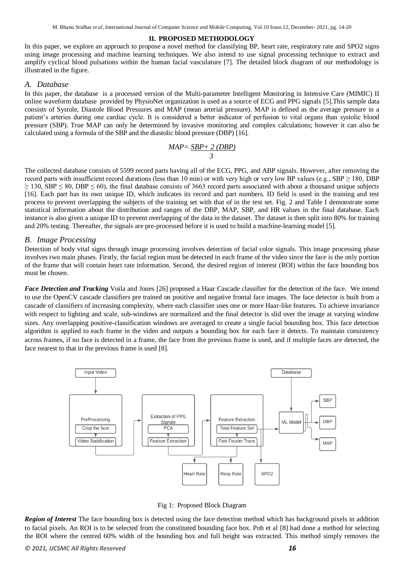#### **II. PROPOSED METHODOLOGY**

In this paper, we explore an approach to propose a novel method for classifying BP, heart rate, respiratory rate and SPO2 signs using image processing and machine learning techniques. We also intend to use signal processing technique to extract and amplify cyclical blood pulsations within the human facial vasculature [7]. The detailed block diagram of our methodology is illustrated in the figure.

### *A. Database*

In this paper, the database is a processed version of the Multi-parameter Intelligent Monitoring in Intensive Care (MIMIC) II online waveform database provided by PhysioNet organization is used as a source of ECG and PPG signals [5].This sample data consists of Systole, Diastole Blood Pressures and MAP (mean arterial pressure). MAP is defined as the average pressure in a patient's arteries during one cardiac cycle. It is considered a better indicator of perfusion to vital organs than systolic blood pressure (SBP). True MAP can only be determined by invasive monitoring and complex calculations; however it can also be calculated using a formula of the SBP and the diastolic blood pressure (DBP) [16].

$$
MAP = \frac{SBP + 2(DBP)}{3}
$$

The collected database consists of 5599 record parts having all of the ECG, PPG, and ABP signals. However, after removing the record parts with insufficient record durations (less than 10 min) or with very high or very low BP values (e.g., SBP  $\geq$  180, DBP  $\geq$  130, SBP  $\leq$  80, DBP  $\leq$  60), the final database consists of 3663 record parts associated with about a thousand unique subjects [16]. Each part has its own unique ID, which indicates its record and part numbers. ID field is used in the training and test process to prevent overlapping the subjects of the training set with that of in the test set. Fig. 2 and Table I demonstrate some statistical information about the distribution and ranges of the DBP, MAP, SBP, and HR values in the final database. Each instance is also given a unique ID to prevent overlapping of the data in the dataset. The dataset is then split into 80% for training and 20% testing. Thereafter, the signals are pre-processed before it is used to build a machine-learning model [5].

### *B. Image Processing*

Detection of body vital signs through image processing involves detection of facial color signals. This image processing phase involves two main phases. Firstly, the facial region must be detected in each frame of the video since the face is the only portion of the frame that will contain heart rate information. Second, the desired region of interest (ROI) within the face bounding box must be chosen.

*Face Detection and Tracking* Voila and Jones [26] proposed a Haar Cascade classifier for the detection of the face. We intend to use the OpenCV cascade classifiers pre trained on positive and negative frontal face images. The face detector is built from a cascade of classifiers of increasing complexity, where each classifier uses one or more Haar-like features. To achieve invariance with respect to lighting and scale, sub-windows are normalized and the final detector is slid over the image at varying window sizes. Any overlapping positive-classification windows are averaged to create a single facial bounding box. This face detection algorithm is applied to each frame in the video and outputs a bounding box for each face it detects. To maintain consistency across frames, if no face is detected in a frame, the face from the previous frame is used, and if multiple faces are detected, the face nearest to that in the previous frame is used [8].



Fig 1: Proposed Block Diagram

*Region of Interest* The face bounding box is detected using the face detection method which has background pixels in addition to facial pixels. An ROI is to be selected from the constituted bounding face box. Poh et al [8] had done a method for selecting the ROI where the centred 60% width of the bounding box and full height was extracted. This method simply removes the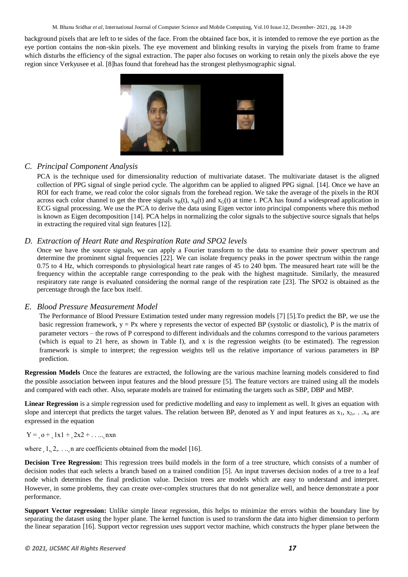background pixels that are left to te sides of the face. From the obtained face box, it is intended to remove the eye portion as the eye portion contains the non-skin pixels. The eye movement and blinking results in varying the pixels from frame to frame which disturbs the efficiency of the signal extraction. The paper also focuses on working to retain only the pixels above the eye region since Verkyusee et al. [8]has found that forehead has the strongest plethysmographic signal.



## *C. Principal Component Analysis*

PCA is the technique used for dimensionality reduction of multivariate dataset. The multivariate dataset is the aligned collection of PPG signal of single period cycle. The algorithm can be applied to aligned PPG signal. [14]. Once we have an ROI for each frame, we read color the color signals from the forehead region. We take the average of the pixels in the ROI across each color channel to get the three signals  $x_B(t)$ ,  $x_B(t)$  and  $x_G(t)$  at time t. PCA has found a widespread application in ECG signal processing. We use the PCA to derive the data using Eigen vector into principal components where this method is known as Eigen decomposition [14]. PCA helps in normalizing the color signals to the subjective source signals that helps in extracting the required vital sign features [12].

## *D. Extraction of Heart Rate and Respiration Rate and SPO2 levels*

Once we have the source signals, we can apply a Fourier transform to the data to examine their power spectrum and determine the prominent signal frequencies [22]. We can isolate frequency peaks in the power spectrum within the range 0.75 to 4 Hz, which corresponds to physiological heart rate ranges of 45 to 240 bpm. The measured heart rate will be the frequency within the acceptable range corresponding to the peak with the highest magnitude. Similarly, the measured respiratory rate range is evaluated considering the normal range of the respiration rate [23]. The SPO2 is obtained as the percentage through the face box itself.

## *E. Blood Pressure Measurement Model*

The Performance of Blood Pressure Estimation tested under many regression models [7] [5].To predict the BP, we use the basic regression framework,  $y = Px$  where y represents the vector of expected BP (systolic or diastolic), P is the matrix of parameter vectors – the rows of P correspond to different individuals and the columns correspond to the various parameters (which is equal to 21 here, as shown in Table I), and x is the regression weights (to be estimated). The regression framework is simple to interpret; the regression weights tell us the relative importance of various parameters in BP prediction.

**Regression Models** Once the features are extracted, the following are the various machine learning models considered to find the possible association between input features and the blood pressure [5]. The feature vectors are trained using all the models and compared with each other. Also, separate models are trained for estimating the targets such as SBP, DBP and MBP.

Linear Regression is a simple regression used for predictive modelling and easy to implement as well. It gives an equation with slope and intercept that predicts the target values. The relation between BP, denoted as Y and input features as  $x_1, x_2, \ldots, x_n$  are expressed in the equation

## $Y = 0 + 1x1 + 2x2 + ...$  nxn

where  $\lambda_1, \lambda_2, \ldots, \lambda_n$  are coefficients obtained from the model [16].

**Decision Tree Regression:** This regression trees build models in the form of a tree structure, which consists of a number of decision nodes that each selects a branch based on a trained condition [5]. An input traverses decision nodes of a tree to a leaf node which determines the final prediction value. Decision trees are models which are easy to understand and interpret. However, in some problems, they can create over-complex structures that do not generalize well, and hence demonstrate a poor performance.

**Support Vector regression:** Unlike simple linear regression, this helps to minimize the errors within the boundary line by separating the dataset using the hyper plane. The kernel function is used to transform the data into higher dimension to perform the linear separation [16]. Support vector regression uses support vector machine, which constructs the hyper plane between the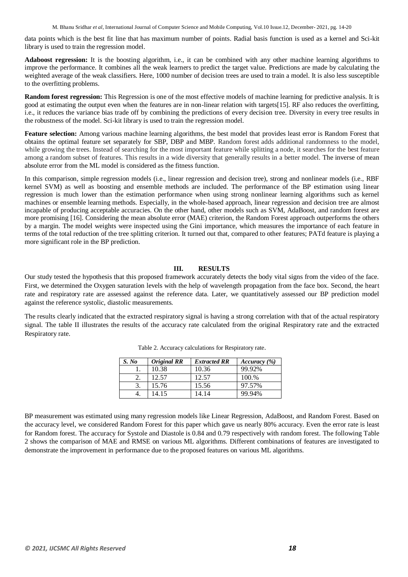data points which is the best fit line that has maximum number of points. Radial basis function is used as a kernel and Sci-kit library is used to train the regression model.

**Adaboost regression:** It is the boosting algorithm, i.e., it can be combined with any other machine learning algorithms to improve the performance. It combines all the weak learners to predict the target value. Predictions are made by calculating the weighted average of the weak classifiers. Here, 1000 number of decision trees are used to train a model. It is also less susceptible to the overfitting problems.

**Random forest regression:** This Regression is one of the most effective models of machine learning for predictive analysis. It is good at estimating the output even when the features are in non-linear relation with targets[15]. RF also reduces the overfitting, i.e., it reduces the variance bias trade off by combining the predictions of every decision tree. Diversity in every tree results in the robustness of the model. Sci-kit library is used to train the regression model.

**Feature selection:** Among various machine learning algorithms, the best model that provides least error is Random Forest that obtains the optimal feature set separately for SBP, DBP and MBP. Random forest adds additional randomness to the model, while growing the trees. Instead of searching for the most important feature while splitting a node, it searches for the best feature among a random subset of features. This results in a wide diversity that generally results in a better model. The inverse of mean absolute error from the ML model is considered as the fitness function.

In this comparison, simple regression models (i.e., linear regression and decision tree), strong and nonlinear models (i.e., RBF kernel SVM) as well as boosting and ensemble methods are included. The performance of the BP estimation using linear regression is much lower than the estimation performance when using strong nonlinear learning algorithms such as kernel machines or ensemble learning methods. Especially, in the whole-based approach, linear regression and decision tree are almost incapable of producing acceptable accuracies. On the other hand, other models such as SVM, AdaBoost, and random forest are more promising [16]. Considering the mean absolute error (MAE) criterion, the Random Forest approach outperforms the others by a margin. The model weights were inspected using the Gini importance, which measures the importance of each feature in terms of the total reduction of the tree splitting criterion. It turned out that, compared to other features; PATd feature is playing a more significant role in the BP prediction.

### **III. RESULTS**

Our study tested the hypothesis that this proposed framework accurately detects the body vital signs from the video of the face. First, we determined the Oxygen saturation levels with the help of wavelength propagation from the face box. Second, the heart rate and respiratory rate are assessed against the reference data. Later, we quantitatively assessed our BP prediction model against the reference systolic, diastolic measurements.

The results clearly indicated that the extracted respiratory signal is having a strong correlation with that of the actual respiratory signal. The table II illustrates the results of the accuracy rate calculated from the original Respiratory rate and the extracted Respiratory rate.

| S. No | <b>Original RR</b> | <b>Extracted RR</b> | Accuracy (%) |
|-------|--------------------|---------------------|--------------|
|       | 10.38              | 10.36               | 99.92%       |
|       | 12.57              | 12.57               | 100.%        |
|       | 15.76              | 15.56               | 97.57%       |
| +.    | 14.15              | 14.14               | 99.94%       |

Table 2. Accuracy calculations for Respiratory rate.

BP measurement was estimated using many regression models like Linear Regression, AdaBoost, and Random Forest. Based on the accuracy level, we considered Random Forest for this paper which gave us nearly 80% accuracy. Even the error rate is least for Random forest. The accuracy for Systole and Diastole is 0.84 and 0.79 respectively with random forest. The following Table 2 shows the comparison of MAE and RMSE on various ML algorithms. Different combinations of features are investigated to demonstrate the improvement in performance due to the proposed features on various ML algorithms.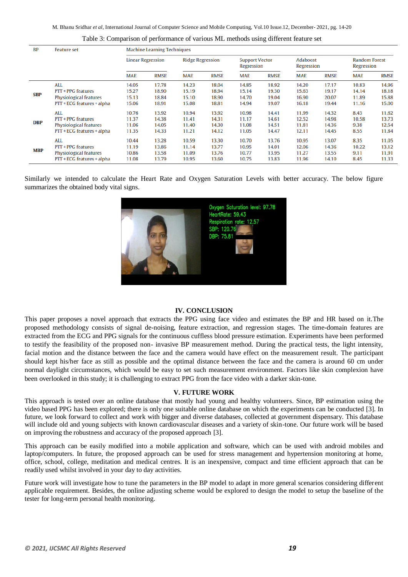| <b>BP</b>  | <b>Feature set</b>                                                                       | <b>Machine Learning Techniques</b> |                                  |                                  |                                  |                                     |                                  |                                  |                                  |                                    |                                  |
|------------|------------------------------------------------------------------------------------------|------------------------------------|----------------------------------|----------------------------------|----------------------------------|-------------------------------------|----------------------------------|----------------------------------|----------------------------------|------------------------------------|----------------------------------|
|            |                                                                                          | <b>Linear Regression</b>           |                                  | <b>Ridge Regression</b>          |                                  | <b>Support Vector</b><br>Regression |                                  | Adaboost<br>Regression           |                                  | <b>Random Forest</b><br>Regression |                                  |
|            |                                                                                          | <b>MAE</b>                         | <b>RMSE</b>                      | <b>MAE</b>                       | <b>RMSE</b>                      | <b>MAE</b>                          | <b>RMSE</b>                      | <b>MAE</b>                       | <b>RMSE</b>                      | <b>MAE</b>                         | <b>RMSE</b>                      |
| <b>SBP</b> | <b>ALL</b><br>PTT + PPG features                                                         | 14.05<br>15.27                     | 17.78<br>18.90                   | 14.23<br>15.19                   | 18.04<br>18.94                   | 14.85<br>15.14                      | 18.92<br>19.30                   | 14.20<br>15.63                   | 17.17<br>19.17                   | 10.83<br>14.14                     | 14.96<br>18.18                   |
|            | <b>Physiological features</b><br>PTT + ECG features + alpha                              | 15.13<br>15.06                     | 18.84<br>18.91                   | 15.10<br>15.08                   | 18.90<br>18.81                   | 14.70<br>14.94                      | 19.04<br>19.07                   | 16.90<br>16.18                   | 20.07<br>19.44                   | 11.89<br>11.16                     | 15.88<br>15.00                   |
| <b>DBP</b> | ALL<br>PTT + PPG features<br>Physiological features<br>PTT + ECG features + alpha        | 10.76<br>11.37<br>11.06<br>11.35   | 13.92<br>14.38<br>14.05<br>14.33 | 10.94<br>11.41<br>11.40<br>11.21 | 13.92<br>14.31<br>14.30<br>14.12 | 10.98<br>11.17<br>11.08<br>11.05    | 14.41<br>14.61<br>14.51<br>14.47 | 11.99<br>12.52<br>11.81<br>12.11 | 14.32<br>14.98<br>14.36<br>14.45 | 8.43<br>10.58<br>9.38<br>8.55      | 11.62<br>13.73<br>12.54<br>11.84 |
| <b>MBP</b> | <b>ALL</b><br>PTT + PPG features<br>Physiological features<br>PTT + ECG features + alpha | 10.44<br>11.19<br>10.86<br>11.08   | 13.28<br>13.86<br>13.58<br>13.79 | 10.59<br>11.14<br>11.09<br>10.95 | 13.30<br>13.77<br>13.76<br>13.60 | 10.70<br>10.95<br>10.77<br>10.75    | 13.76<br>14.01<br>13.95<br>13.83 | 10.95<br>12.06<br>11.27<br>11.96 | 13.07<br>14.36<br>13.55<br>14.10 | 8.35<br>10.22<br>9.11<br>8.45      | 11.05<br>13.12<br>11.91<br>11.33 |

Table 3: Comparison of performance of various ML methods using different feature set

Similarly we intended to calculate the Heart Rate and Oxygen Saturation Levels with better accuracy. The below figure summarizes the obtained body vital signs.



## **IV. CONCLUSION**

This paper proposes a novel approach that extracts the PPG using face video and estimates the BP and HR based on it.The proposed methodology consists of signal de-noising, feature extraction, and regression stages. The time-domain features are extracted from the ECG and PPG signals for the continuous cuffless blood pressure estimation. Experiments have been performed to testify the feasibility of the proposed non- invasive BP measurement method. During the practical tests, the light intensity, facial motion and the distance between the face and the camera would have effect on the measurement result. The participant should kept his/her face as still as possible and the optimal distance between the face and the camera is around 60 cm under normal daylight circumstances, which would be easy to set such measurement environment. Factors like skin complexion have been overlooked in this study; it is challenging to extract PPG from the face video with a darker skin-tone.

#### **V. FUTURE WORK**

This approach is tested over an online database that mostly had young and healthy volunteers. Since, BP estimation using the video based PPG has been explored; there is only one suitable online database on which the experiments can be conducted [3]. In future, we look forward to collect and work with bigger and diverse databases, collected at government dispensary. This database will include old and young subjects with known cardiovascular diseases and a variety of skin-tone. Our future work will be based on improving the robustness and accuracy of the proposed approach [3].

This approach can be easily modified into a mobile application and software, which can be used with android mobiles and laptop/computers. In future, the proposed approach can be used for stress management and hypertension monitoring at home, office, school, college, meditation and medical centres. It is an inexpensive, compact and time efficient approach that can be readily used whilst involved in your day to day activities.

Future work will investigate how to tune the parameters in the BP model to adapt in more general scenarios considering different applicable requirement. Besides, the online adjusting scheme would be explored to design the model to setup the baseline of the tester for long-term personal health monitoring.